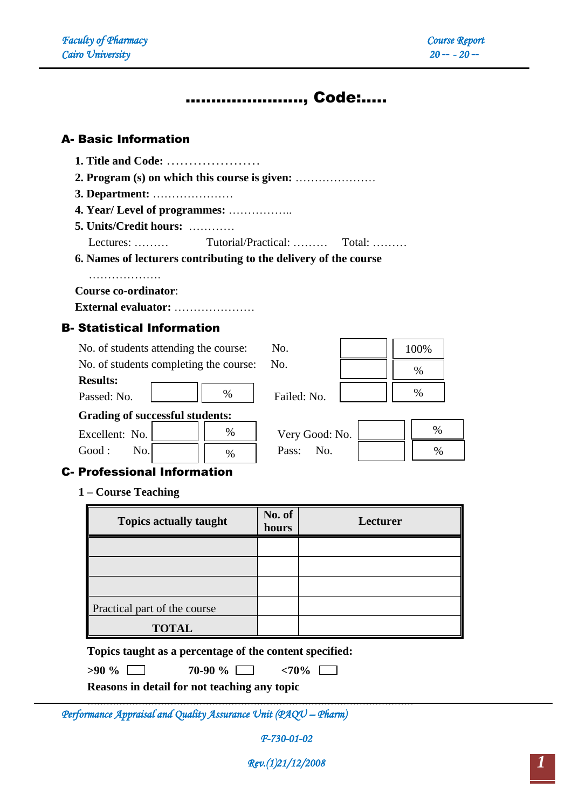# ………………….., Code:…..

## A- Basic Information

- **1. Title and Code:** …………………
- **2. Program (s) on which this course is given:** …………………
- **3. Department:** …………………
- **4. Year/ Level of programmes:** ……………..

**5. Units/Credit hours:** …………

Lectures: ……… Tutorial/Practical: ……… Total: ………

**6. Names of lecturers contributing to the delivery of the course**

………………………

**Course co-ordinator**:

**External evaluator:** …………………

# B- Statistical Information

| No. of students attending the course:  | No.            | 100% |
|----------------------------------------|----------------|------|
| No. of students completing the course: | No.            | $\%$ |
| <b>Results:</b>                        |                |      |
| %<br>Passed: No.                       | Failed: No.    | %    |
| <b>Grading of successful students:</b> |                |      |
| %<br>Excellent: No.                    | Very Good: No. | $\%$ |
| Good:<br>No.<br>$\%$                   | No.<br>Pass:   |      |

# C- Professional Information

**1 – Course Teaching**

| <b>Topics actually taught</b> | No. of<br>hours | Lecturer |
|-------------------------------|-----------------|----------|
|                               |                 |          |
|                               |                 |          |
|                               |                 |          |
| Practical part of the course  |                 |          |
| <b>TOTAL</b>                  |                 |          |

**Topics taught as a percentage of the content specified:** 

…………………………………………………………………………………………

| $>90\%$ $\Box$ | 70-90 % |  |
|----------------|---------|--|
|                |         |  |

**>90 % 70-90 % <70%** 

**Reasons in detail for not teaching any topic**

*Performance Appraisal and Quality Assurance Unit (PAQU – Pharm)* 

*F-730-01-02*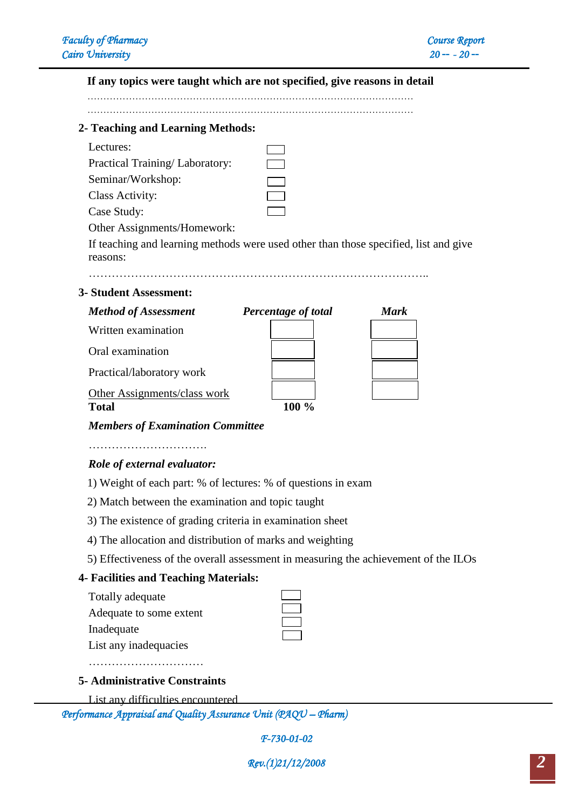# **If any topics were taught which are not specified, give reasons in detail**

………………………………………………………………………………………… …………………………………………………………………………………………

### **2- Teaching and Learning Methods:**

| Practical Training/Laboratory: |  |
|--------------------------------|--|
| Seminar/Workshop:              |  |

Case Study:

Other Assignments/Homework:

If teaching and learning methods were used other than those specified, list and give reasons:

……………………………………………………………………………..

### **3- Student Assessment:**

| <b>Method of Assessment</b>  | Percentage of total | Mark |
|------------------------------|---------------------|------|
| Written examination          |                     |      |
| Oral examination             |                     |      |
| Practical/laboratory work    |                     |      |
| Other Assignments/class work |                     |      |
| <b>Total</b>                 |                     |      |

*Members of Examination Committee*

………………………….

## *Role of external evaluator:*

1) Weight of each part: % of lectures: % of questions in exam

2) Match between the examination and topic taught

- 3) The existence of grading criteria in examination sheet
- 4) The allocation and distribution of marks and weighting
- 5) Effectiveness of the overall assessment in measuring the achievement of the ILOs

## **4- Facilities and Teaching Materials:**

|  | Totally adequate |  |  |
|--|------------------|--|--|
|--|------------------|--|--|

Adequate to some extent

Inadequate

List any inadequacies

………………………………………

#### **5- Administrative Constraints**

List any difficulties encountered

*Performance Appraisal and Quality Assurance Unit (PAQU – Pharm)* 

*F-730-01-02*